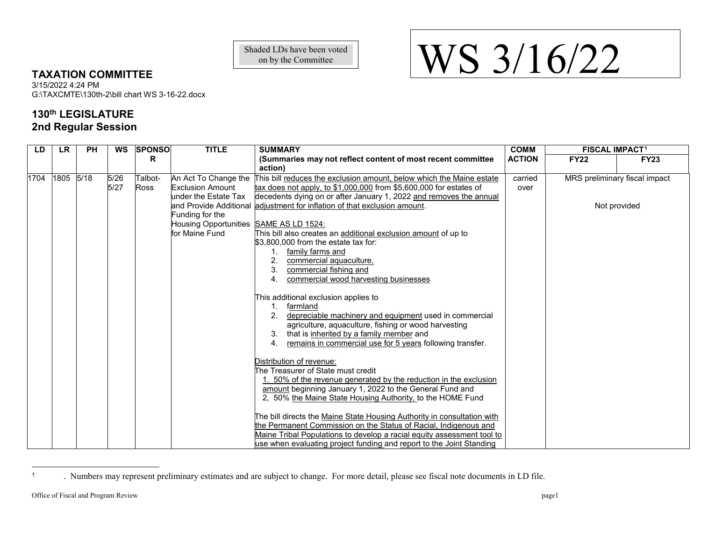<span id="page-0-0"></span>Shaded LDs have been voted<br>on by the Committee on by the Committee

## **TAXATION COMMITTEE**

3/15/2022 4:24 PM G:\TAXCMTE\130th-2\bill chart WS 3-16-22.docx

## **130th LEGISLATURE 2nd Regular Session**

| LD   | <b>LR</b> | <b>PH</b> | <b>WS</b> | <b>SPONSO</b> | <b>TITLE</b>                           | <b>SUMMARY</b>                                                            | <b>COMM</b>   | <b>FISCAL IMPACT1</b>         |             |
|------|-----------|-----------|-----------|---------------|----------------------------------------|---------------------------------------------------------------------------|---------------|-------------------------------|-------------|
|      |           |           |           | R             |                                        | (Summaries may not reflect content of most recent committee               | <b>ACTION</b> | <b>FY22</b>                   | <b>FY23</b> |
|      |           |           |           |               |                                        | action)                                                                   |               |                               |             |
| 1704 | 1805      | 5/18      | 5/26      | Talbot-       | An Act To Change the                   | This bill reduces the exclusion amount, below which the Maine estate      | carried       | MRS preliminary fiscal impact |             |
|      |           |           | $5/27$    | <b>Ross</b>   | <b>Exclusion Amount</b>                | tax does not apply, to \$1,000,000 from \$5,600,000 for estates of        | over          |                               |             |
|      |           |           |           |               | under the Estate Tax                   | decedents dying on or after January 1, 2022 and removes the annual        |               |                               |             |
|      |           |           |           |               |                                        | and Provide Additional adjustment for inflation of that exclusion amount. |               | Not provided                  |             |
|      |           |           |           |               | Funding for the                        |                                                                           |               |                               |             |
|      |           |           |           |               | Housing Opportunities SAME AS LD 1524: |                                                                           |               |                               |             |
|      |           |           |           |               | for Maine Fund                         | This bill also creates an additional exclusion amount of up to            |               |                               |             |
|      |           |           |           |               |                                        | \$3.800,000 from the estate tax for:                                      |               |                               |             |
|      |           |           |           |               |                                        | 1. family farms and                                                       |               |                               |             |
|      |           |           |           |               |                                        | commercial aquaculture,                                                   |               |                               |             |
|      |           |           |           |               |                                        | 3.<br>commercial fishing and                                              |               |                               |             |
|      |           |           |           |               |                                        | commercial wood harvesting businesses<br>4.                               |               |                               |             |
|      |           |           |           |               |                                        |                                                                           |               |                               |             |
|      |           |           |           |               |                                        | This additional exclusion applies to<br>farmland                          |               |                               |             |
|      |           |           |           |               |                                        | depreciable machinery and equipment used in commercial                    |               |                               |             |
|      |           |           |           |               |                                        | agriculture, aquaculture, fishing or wood harvesting                      |               |                               |             |
|      |           |           |           |               |                                        | that is inherited by a family member and                                  |               |                               |             |
|      |           |           |           |               |                                        | 4.<br>remains in commercial use for 5 years following transfer.           |               |                               |             |
|      |           |           |           |               |                                        |                                                                           |               |                               |             |
|      |           |           |           |               |                                        | Distribution of revenue:                                                  |               |                               |             |
|      |           |           |           |               |                                        | The Treasurer of State must credit                                        |               |                               |             |
|      |           |           |           |               |                                        | 1. 50% of the revenue generated by the reduction in the exclusion         |               |                               |             |
|      |           |           |           |               |                                        | amount beginning January 1, 2022 to the General Fund and                  |               |                               |             |
|      |           |           |           |               |                                        | 2, 50% the Maine State Housing Authority, to the HOME Fund                |               |                               |             |
|      |           |           |           |               |                                        |                                                                           |               |                               |             |
|      |           |           |           |               |                                        | The bill directs the Maine State Housing Authority in consultation with   |               |                               |             |
|      |           |           |           |               |                                        | the Permanent Commission on the Status of Racial, Indigenous and          |               |                               |             |
|      |           |           |           |               |                                        | Maine Tribal Populations to develop a racial equity assessment tool to    |               |                               |             |
|      |           |           |           |               |                                        | use when evaluating project funding and report to the Joint Standing      |               |                               |             |

<sup>1</sup> . Numbers may represent preliminary estimates and are subject to change. For more detail, please see fiscal note documents in LD file.

 $\overline{a}$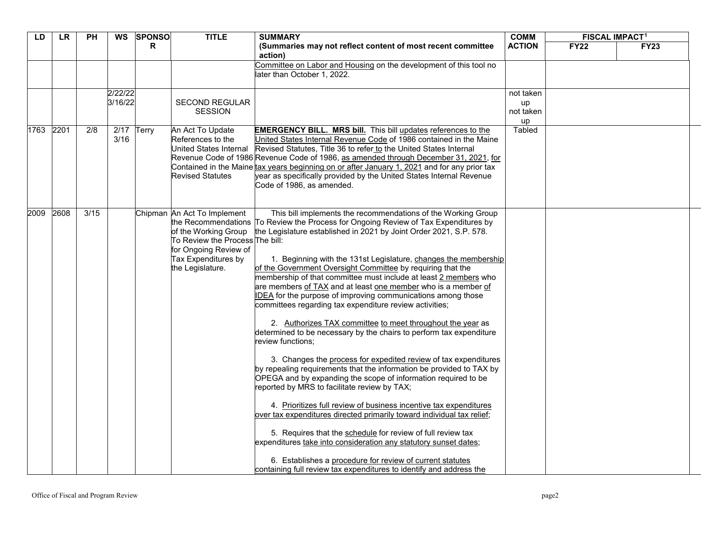| LD   | <b>LR</b> | <b>PH</b>        | <b>WS</b>          | <b>SPONSO</b> | <b>TITLE</b>                                                                                                                                               | <b>SUMMARY</b>                                                                                                                                                                                                                                                                                                                                                                                                                                                                                                                                                                                                                                                                                                                                                                                                                                                                                                                                                                                                                                                                                                                                                                                                                                                                                                                                                                                                                                                            | <b>COMM</b>                        | <b>FISCAL IMPACT1</b> |             |
|------|-----------|------------------|--------------------|---------------|------------------------------------------------------------------------------------------------------------------------------------------------------------|---------------------------------------------------------------------------------------------------------------------------------------------------------------------------------------------------------------------------------------------------------------------------------------------------------------------------------------------------------------------------------------------------------------------------------------------------------------------------------------------------------------------------------------------------------------------------------------------------------------------------------------------------------------------------------------------------------------------------------------------------------------------------------------------------------------------------------------------------------------------------------------------------------------------------------------------------------------------------------------------------------------------------------------------------------------------------------------------------------------------------------------------------------------------------------------------------------------------------------------------------------------------------------------------------------------------------------------------------------------------------------------------------------------------------------------------------------------------------|------------------------------------|-----------------------|-------------|
|      |           |                  |                    | R.            |                                                                                                                                                            | (Summaries may not reflect content of most recent committee<br>action)                                                                                                                                                                                                                                                                                                                                                                                                                                                                                                                                                                                                                                                                                                                                                                                                                                                                                                                                                                                                                                                                                                                                                                                                                                                                                                                                                                                                    | <b>ACTION</b>                      | <b>FY22</b>           | <b>FY23</b> |
|      |           |                  |                    |               |                                                                                                                                                            | Committee on Labor and Housing on the development of this tool no<br>later than October 1, 2022.                                                                                                                                                                                                                                                                                                                                                                                                                                                                                                                                                                                                                                                                                                                                                                                                                                                                                                                                                                                                                                                                                                                                                                                                                                                                                                                                                                          |                                    |                       |             |
|      |           |                  | 2/22/22<br>3/16/22 |               | <b>SECOND REGULAR</b><br><b>SESSION</b>                                                                                                                    |                                                                                                                                                                                                                                                                                                                                                                                                                                                                                                                                                                                                                                                                                                                                                                                                                                                                                                                                                                                                                                                                                                                                                                                                                                                                                                                                                                                                                                                                           | not taken<br>up<br>not taken<br>up |                       |             |
| 1763 | 2201      | $\overline{2/8}$ | 2/17<br>3/16       | Terry         | An Act To Update<br>References to the<br>United States Internal<br><b>Revised Statutes</b>                                                                 | <b>EMERGENCY BILL. MRS bill.</b> This bill updates references to the<br>United States Internal Revenue Code of 1986 contained in the Maine<br>Revised Statutes, Title 36 to refer to the United States Internal<br>Revenue Code of 1986 Revenue Code of 1986, as amended through December 31, 2021, for<br>Contained in the Maine tax years beginning on or after January 1, 2021 and for any prior tax<br>year as specifically provided by the United States Internal Revenue<br>Code of 1986, as amended.                                                                                                                                                                                                                                                                                                                                                                                                                                                                                                                                                                                                                                                                                                                                                                                                                                                                                                                                                               | Tabled                             |                       |             |
| 2009 | 2608      | 3/15             |                    |               | Chipman An Act To Implement<br>of the Working Group<br>To Review the Process The bill:<br>for Ongoing Review of<br>Tax Expenditures by<br>the Legislature. | This bill implements the recommendations of the Working Group<br>the Recommendations To Review the Process for Ongoing Review of Tax Expenditures by<br>the Legislature established in 2021 by Joint Order 2021, S.P. 578.<br>1. Beginning with the 131st Legislature, changes the membership<br>of the Government Oversight Committee by requiring that the<br>membership of that committee must include at least 2 members who<br>are members of TAX and at least one member who is a member of<br>IDEA for the purpose of improving communications among those<br>committees regarding tax expenditure review activities;<br>2. Authorizes TAX committee to meet throughout the year as<br>determined to be necessary by the chairs to perform tax expenditure<br>review functions;<br>3. Changes the process for expedited review of tax expenditures<br>by repealing requirements that the information be provided to TAX by<br>OPEGA and by expanding the scope of information required to be<br>reported by MRS to facilitate review by TAX;<br>4. Prioritizes full review of business incentive tax expenditures<br>over tax expenditures directed primarily toward individual tax relief;<br>5. Requires that the schedule for review of full review tax<br>expenditures take into consideration any statutory sunset dates;<br>6. Establishes a procedure for review of current statutes<br>containing full review tax expenditures to identify and address the |                                    |                       |             |